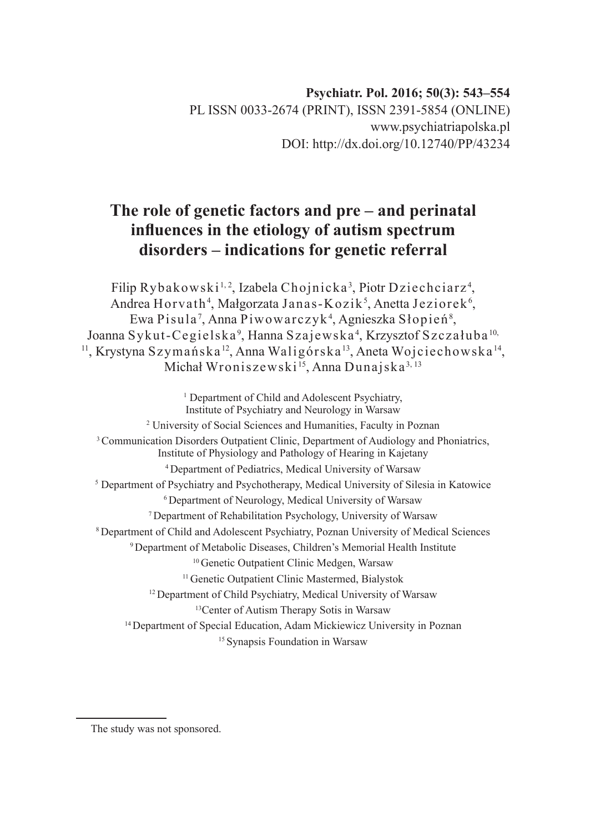# **The role of genetic factors and pre – and perinatal influences in the etiology of autism spectrum disorders – indications for genetic referral**

Filip Rybakowski½, Izabela Chojnicka3, Piotr Dziechciarz4, Andrea Horvath<sup>4</sup>, Małgorzata Janas-Kozik<sup>5</sup>, Anetta Jeziorek<sup>6</sup>, Ewa Pisula <sup>7</sup> , Anna Piwowarczyk4 , Agnieszka Słopień<sup>8</sup> , Joanna Sykut-Cegielska<sup>9</sup>, Hanna Szajewska<sup>4</sup>, Krzysztof Szczałuba <sup>10,</sup> <sup>11</sup>, Krystyna Szymańska<sup>12</sup>, Anna Waligórska<sup>13</sup>, Aneta Wojciechowska<sup>14</sup>, Michał Wroniszewski<sup>15</sup>, Anna Dunajska<sup>3, 13</sup>

<sup>1</sup> Department of Child and Adolescent Psychiatry, Institute of Psychiatry and Neurology in Warsaw 2 University of Social Sciences and Humanities, Faculty in Poznan <sup>3</sup> Communication Disorders Outpatient Clinic, Department of Audiology and Phoniatrics, Institute of Physiology and Pathology of Hearing in Kajetany <sup>4</sup>Department of Pediatrics, Medical University of Warsaw <sup>5</sup> Department of Psychiatry and Psychotherapy, Medical University of Silesia in Katowice <sup>6</sup> Department of Neurology, Medical University of Warsaw <sup>7</sup>Department of Rehabilitation Psychology, University of Warsaw <sup>8</sup>Department of Child and Adolescent Psychiatry, Poznan University of Medical Sciences <sup>9</sup>Department of Metabolic Diseases, Children's Memorial Health Institute <sup>10</sup> Genetic Outpatient Clinic Medgen, Warsaw <sup>11</sup> Genetic Outpatient Clinic Mastermed, Bialystok <sup>12</sup> Department of Child Psychiatry, Medical University of Warsaw <sup>13</sup>Center of Autism Therapy Sotis in Warsaw <sup>14</sup> Department of Special Education, Adam Mickiewicz University in Poznan <sup>15</sup> Synapsis Foundation in Warsaw

The study was not sponsored.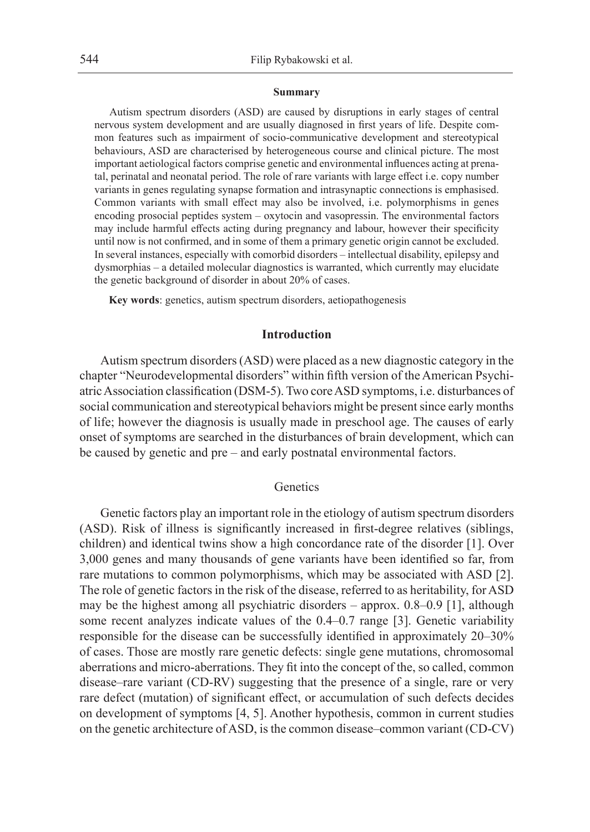#### **Summary**

Autism spectrum disorders (ASD) are caused by disruptions in early stages of central nervous system development and are usually diagnosed in first years of life. Despite common features such as impairment of socio-communicative development and stereotypical behaviours, ASD are characterised by heterogeneous course and clinical picture. The most important aetiological factors comprise genetic and environmental influences acting at prenatal, perinatal and neonatal period. The role of rare variants with large effect i.e. copy number variants in genes regulating synapse formation and intrasynaptic connections is emphasised. Common variants with small effect may also be involved, i.e. polymorphisms in genes encoding prosocial peptides system – oxytocin and vasopressin. The environmental factors may include harmful effects acting during pregnancy and labour, however their specificity until now is not confirmed, and in some of them a primary genetic origin cannot be excluded. In several instances, especially with comorbid disorders – intellectual disability, epilepsy and dysmorphias – a detailed molecular diagnostics is warranted, which currently may elucidate the genetic background of disorder in about 20% of cases.

**Key words**: genetics, autism spectrum disorders, aetiopathogenesis

#### **Introduction**

Autism spectrum disorders (ASD) were placed as a new diagnostic category in the chapter "Neurodevelopmental disorders" within fifth version of the American Psychiatric Association classification (DSM-5). Two core ASD symptoms, i.e. disturbances of social communication and stereotypical behaviors might be present since early months of life; however the diagnosis is usually made in preschool age. The causes of early onset of symptoms are searched in the disturbances of brain development, which can be caused by genetic and pre – and early postnatal environmental factors.

# **Genetics**

Genetic factors play an important role in the etiology of autism spectrum disorders (ASD). Risk of illness is significantly increased in first-degree relatives (siblings, children) and identical twins show a high concordance rate of the disorder [1]. Over 3,000 genes and many thousands of gene variants have been identified so far, from rare mutations to common polymorphisms, which may be associated with ASD [2]. The role of genetic factors in the risk of the disease, referred to as heritability, for ASD may be the highest among all psychiatric disorders – approx. 0.8–0.9 [1], although some recent analyzes indicate values of the 0.4–0.7 range [3]. Genetic variability responsible for the disease can be successfully identified in approximately 20–30% of cases. Those are mostly rare genetic defects: single gene mutations, chromosomal aberrations and micro-aberrations. They fit into the concept of the, so called, common disease–rare variant (CD-RV) suggesting that the presence of a single, rare or very rare defect (mutation) of significant effect, or accumulation of such defects decides on development of symptoms [4, 5]. Another hypothesis, common in current studies on the genetic architecture of ASD, is the common disease–common variant (CD-CV)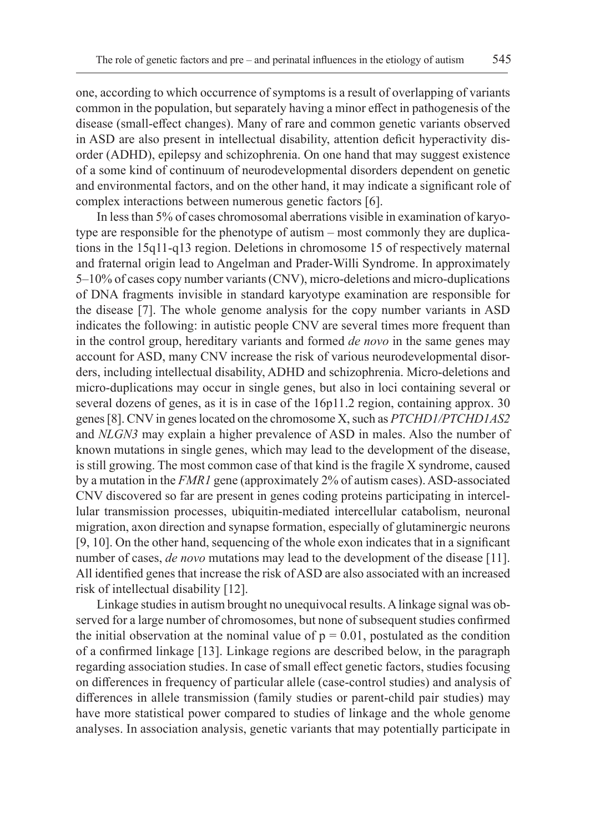one, according to which occurrence of symptoms is a result of overlapping of variants common in the population, but separately having a minor effect in pathogenesis of the disease (small-effect changes). Many of rare and common genetic variants observed in ASD are also present in intellectual disability, attention deficit hyperactivity disorder (ADHD), epilepsy and schizophrenia. On one hand that may suggest existence of a some kind of continuum of neurodevelopmental disorders dependent on genetic and environmental factors, and on the other hand, it may indicate a significant role of complex interactions between numerous genetic factors [6].

In less than 5% of cases chromosomal aberrations visible in examination of karyotype are responsible for the phenotype of autism – most commonly they are duplications in the 15q11-q13 region. Deletions in chromosome 15 of respectively maternal and fraternal origin lead to Angelman and Prader-Willi Syndrome. In approximately 5–10% of cases copy number variants (CNV), micro-deletions and micro-duplications of DNA fragments invisible in standard karyotype examination are responsible for the disease [7]. The whole genome analysis for the copy number variants in ASD indicates the following: in autistic people CNV are several times more frequent than in the control group, hereditary variants and formed *de novo* in the same genes may account for ASD, many CNV increase the risk of various neurodevelopmental disorders, including intellectual disability, ADHD and schizophrenia. Micro-deletions and micro-duplications may occur in single genes, but also in loci containing several or several dozens of genes, as it is in case of the 16p11.2 region, containing approx. 30 genes [8]. CNV in genes located on the chromosome X, such as *PTCHD1/PTCHD1AS2*  and *NLGN3* may explain a higher prevalence of ASD in males. Also the number of known mutations in single genes, which may lead to the development of the disease, is still growing. The most common case of that kind is the fragile X syndrome, caused by a mutation in the *FMR1* gene (approximately 2% of autism cases). ASD-associated CNV discovered so far are present in genes coding proteins participating in intercellular transmission processes, ubiquitin-mediated intercellular catabolism, neuronal migration, axon direction and synapse formation, especially of glutaminergic neurons [9, 10]. On the other hand, sequencing of the whole exon indicates that in a significant number of cases, *de novo* mutations may lead to the development of the disease [11]. All identified genes that increase the risk of ASD are also associated with an increased risk of intellectual disability [12].

Linkage studies in autism brought no unequivocal results. A linkage signal was observed for a large number of chromosomes, but none of subsequent studies confirmed the initial observation at the nominal value of  $p = 0.01$ , postulated as the condition of a confirmed linkage [13]. Linkage regions are described below, in the paragraph regarding association studies. In case of small effect genetic factors, studies focusing on differences in frequency of particular allele (case-control studies) and analysis of differences in allele transmission (family studies or parent-child pair studies) may have more statistical power compared to studies of linkage and the whole genome analyses. In association analysis, genetic variants that may potentially participate in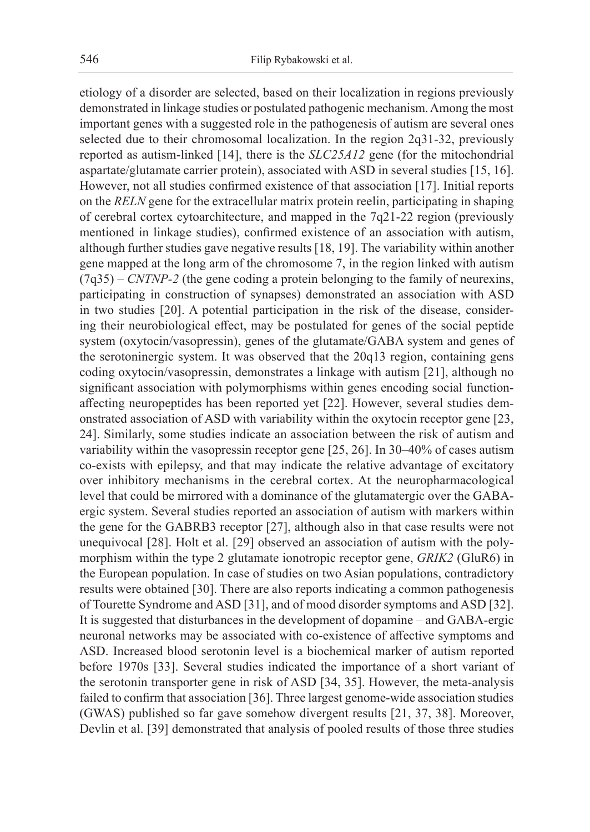etiology of a disorder are selected, based on their localization in regions previously demonstrated in linkage studies or postulated pathogenic mechanism. Among the most important genes with a suggested role in the pathogenesis of autism are several ones selected due to their chromosomal localization. In the region 2q31-32, previously reported as autism-linked [14], there is the *SLC25A12* gene (for the mitochondrial aspartate/glutamate carrier protein), associated with ASD in several studies [15, 16]. However, not all studies confirmed existence of that association [17]. Initial reports on the *RELN* gene for the extracellular matrix protein reelin, participating in shaping of cerebral cortex cytoarchitecture, and mapped in the 7q21-22 region (previously mentioned in linkage studies), confirmed existence of an association with autism, although further studies gave negative results [18, 19]. The variability within another gene mapped at the long arm of the chromosome 7, in the region linked with autism  $(7q35)$  – *CNTNP-2* (the gene coding a protein belonging to the family of neurexins, participating in construction of synapses) demonstrated an association with ASD in two studies [20]. A potential participation in the risk of the disease, considering their neurobiological effect, may be postulated for genes of the social peptide system (oxytocin/vasopressin), genes of the glutamate/GABA system and genes of the serotoninergic system. It was observed that the 20q13 region, containing gens coding oxytocin/vasopressin, demonstrates a linkage with autism [21], although no significant association with polymorphisms within genes encoding social functionaffecting neuropeptides has been reported yet [22]. However, several studies demonstrated association of ASD with variability within the oxytocin receptor gene [23, 24]. Similarly, some studies indicate an association between the risk of autism and variability within the vasopressin receptor gene [25, 26]. In 30–40% of cases autism co-exists with epilepsy, and that may indicate the relative advantage of excitatory over inhibitory mechanisms in the cerebral cortex. At the neuropharmacological level that could be mirrored with a dominance of the glutamatergic over the GABAergic system. Several studies reported an association of autism with markers within the gene for the GABRB3 receptor [27], although also in that case results were not unequivocal [28]. Holt et al. [29] observed an association of autism with the polymorphism within the type 2 glutamate ionotropic receptor gene, *GRIK2* (GluR6) in the European population. In case of studies on two Asian populations, contradictory results were obtained [30]. There are also reports indicating a common pathogenesis of Tourette Syndrome and ASD [31], and of mood disorder symptoms and ASD [32]. It is suggested that disturbances in the development of dopamine – and GABA-ergic neuronal networks may be associated with co-existence of affective symptoms and ASD. Increased blood serotonin level is a biochemical marker of autism reported before 1970s [33]. Several studies indicated the importance of a short variant of the serotonin transporter gene in risk of ASD [34, 35]. However, the meta-analysis failed to confirm that association [36]. Three largest genome-wide association studies (GWAS) published so far gave somehow divergent results [21, 37, 38]. Moreover, Devlin et al. [39] demonstrated that analysis of pooled results of those three studies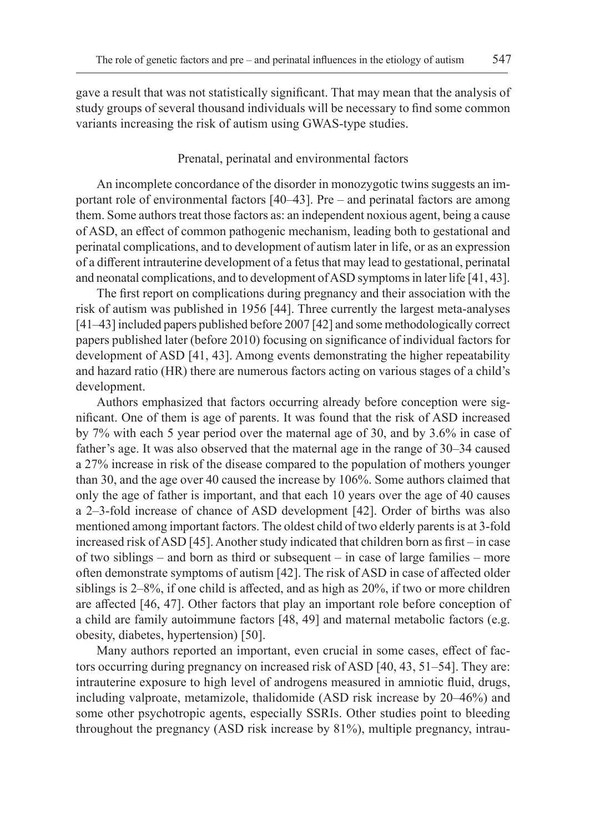gave a result that was not statistically significant. That may mean that the analysis of study groups of several thousand individuals will be necessary to find some common variants increasing the risk of autism using GWAS-type studies.

### Prenatal, perinatal and environmental factors

An incomplete concordance of the disorder in monozygotic twins suggests an important role of environmental factors [40–43]. Pre – and perinatal factors are among them. Some authors treat those factors as: an independent noxious agent, being a cause of ASD, an effect of common pathogenic mechanism, leading both to gestational and perinatal complications, and to development of autism later in life, or as an expression of a different intrauterine development of a fetus that may lead to gestational, perinatal and neonatal complications, and to development of ASD symptoms in later life [41, 43].

The first report on complications during pregnancy and their association with the risk of autism was published in 1956 [44]. Three currently the largest meta-analyses [41–43] included papers published before 2007 [42] and some methodologically correct papers published later (before 2010) focusing on significance of individual factors for development of ASD [41, 43]. Among events demonstrating the higher repeatability and hazard ratio (HR) there are numerous factors acting on various stages of a child's development.

Authors emphasized that factors occurring already before conception were significant. One of them is age of parents. It was found that the risk of ASD increased by 7% with each 5 year period over the maternal age of 30, and by 3.6% in case of father's age. It was also observed that the maternal age in the range of 30–34 caused a 27% increase in risk of the disease compared to the population of mothers younger than 30, and the age over 40 caused the increase by 106%. Some authors claimed that only the age of father is important, and that each 10 years over the age of 40 causes a 2–3-fold increase of chance of ASD development [42]. Order of births was also mentioned among important factors. The oldest child of two elderly parents is at 3-fold increased risk of ASD [45]. Another study indicated that children born as first – in case of two siblings – and born as third or subsequent – in case of large families – more often demonstrate symptoms of autism [42]. The risk of ASD in case of affected older siblings is 2–8%, if one child is affected, and as high as 20%, if two or more children are affected [46, 47]. Other factors that play an important role before conception of a child are family autoimmune factors [48, 49] and maternal metabolic factors (e.g. obesity, diabetes, hypertension) [50].

Many authors reported an important, even crucial in some cases, effect of factors occurring during pregnancy on increased risk of ASD [40, 43, 51–54]. They are: intrauterine exposure to high level of androgens measured in amniotic fluid, drugs, including valproate, metamizole, thalidomide (ASD risk increase by 20–46%) and some other psychotropic agents, especially SSRIs. Other studies point to bleeding throughout the pregnancy (ASD risk increase by 81%), multiple pregnancy, intrau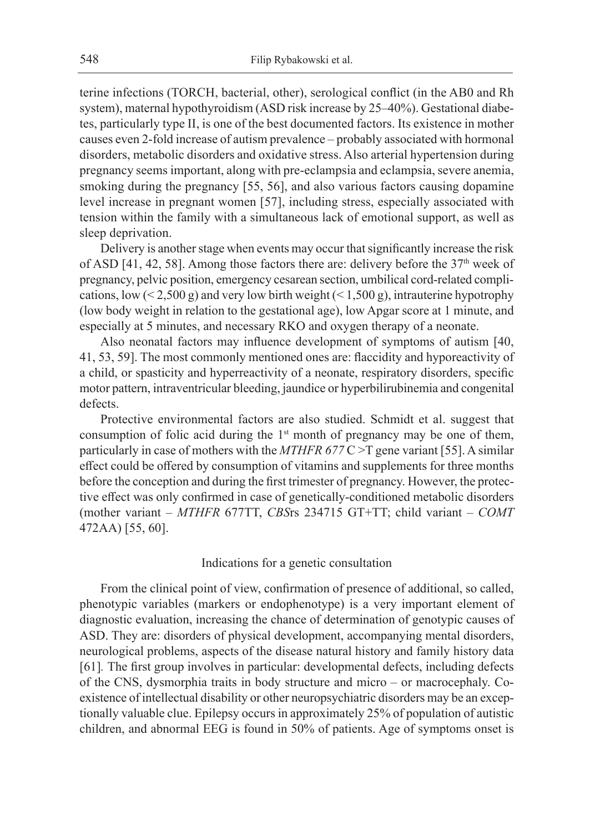terine infections (TORCH, bacterial, other), serological conflict (in the AB0 and Rh system), maternal hypothyroidism (ASD risk increase by 25–40%). Gestational diabetes, particularly type II, is one of the best documented factors. Its existence in mother causes even 2-fold increase of autism prevalence – probably associated with hormonal disorders, metabolic disorders and oxidative stress. Also arterial hypertension during pregnancy seems important, along with pre-eclampsia and eclampsia, severe anemia, smoking during the pregnancy [55, 56], and also various factors causing dopamine level increase in pregnant women [57], including stress, especially associated with tension within the family with a simultaneous lack of emotional support, as well as sleep deprivation.

Delivery is another stage when events may occur that significantly increase the risk of ASD [41, 42, 58]. Among those factors there are: delivery before the  $37<sup>th</sup>$  week of pregnancy, pelvic position, emergency cesarean section, umbilical cord-related complications, low  $(< 2,500 \text{ g})$  and very low birth weight  $(< 1,500 \text{ g})$ , intrauterine hypotrophy (low body weight in relation to the gestational age), low Apgar score at 1 minute, and especially at 5 minutes, and necessary RKO and oxygen therapy of a neonate.

Also neonatal factors may influence development of symptoms of autism [40, 41, 53, 59]. The most commonly mentioned ones are: flaccidity and hyporeactivity of a child, or spasticity and hyperreactivity of a neonate, respiratory disorders, specific motor pattern, intraventricular bleeding, jaundice or hyperbilirubinemia and congenital defects.

Protective environmental factors are also studied. Schmidt et al. suggest that consumption of folic acid during the  $1<sup>st</sup>$  month of pregnancy may be one of them, particularly in case of mothers with the *MTHFR 677* C >T gene variant [55]. A similar effect could be offered by consumption of vitamins and supplements for three months before the conception and during the first trimester of pregnancy. However, the protective effect was only confirmed in case of genetically-conditioned metabolic disorders (mother variant – *MTHFR* 677TT, *CBS*rs 234715 GT+TT; child variant – *COMT* 472AA) [55, 60].

## Indications for a genetic consultation

From the clinical point of view, confirmation of presence of additional, so called, phenotypic variables (markers or endophenotype) is a very important element of diagnostic evaluation, increasing the chance of determination of genotypic causes of ASD. They are: disorders of physical development, accompanying mental disorders, neurological problems, aspects of the disease natural history and family history data [61]*.* The first group involves in particular: developmental defects, including defects of the CNS, dysmorphia traits in body structure and micro – or macrocephaly. Coexistence of intellectual disability or other neuropsychiatric disorders may be an exceptionally valuable clue. Epilepsy occurs in approximately 25% of population of autistic children, and abnormal EEG is found in 50% of patients. Age of symptoms onset is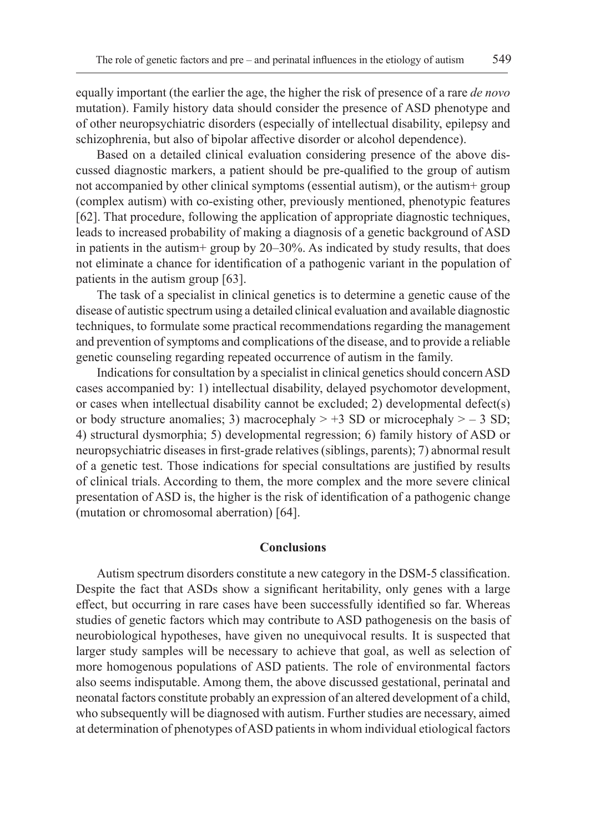equally important (the earlier the age, the higher the risk of presence of a rare *de novo* mutation). Family history data should consider the presence of ASD phenotype and of other neuropsychiatric disorders (especially of intellectual disability, epilepsy and schizophrenia, but also of bipolar affective disorder or alcohol dependence).

Based on a detailed clinical evaluation considering presence of the above discussed diagnostic markers, a patient should be pre-qualified to the group of autism not accompanied by other clinical symptoms (essential autism), or the autism+ group (complex autism) with co-existing other, previously mentioned, phenotypic features [62]. That procedure, following the application of appropriate diagnostic techniques, leads to increased probability of making a diagnosis of a genetic background of ASD in patients in the autism + group by  $20-30%$ . As indicated by study results, that does not eliminate a chance for identification of a pathogenic variant in the population of patients in the autism group [63].

The task of a specialist in clinical genetics is to determine a genetic cause of the disease of autistic spectrum using a detailed clinical evaluation and available diagnostic techniques, to formulate some practical recommendations regarding the management and prevention of symptoms and complications of the disease, and to provide a reliable genetic counseling regarding repeated occurrence of autism in the family.

Indications for consultation by a specialist in clinical genetics should concern ASD cases accompanied by: 1) intellectual disability, delayed psychomotor development, or cases when intellectual disability cannot be excluded; 2) developmental defect(s) or body structure anomalies; 3) macrocephaly  $> +3$  SD or microcephaly  $> -3$  SD; 4) structural dysmorphia; 5) developmental regression; 6) family history of ASD or neuropsychiatric diseases in first-grade relatives (siblings, parents); 7) abnormal result of a genetic test. Those indications for special consultations are justified by results of clinical trials. According to them, the more complex and the more severe clinical presentation of ASD is, the higher is the risk of identification of a pathogenic change (mutation or chromosomal aberration) [64].

### **Conclusions**

Autism spectrum disorders constitute a new category in the DSM-5 classification. Despite the fact that ASDs show a significant heritability, only genes with a large effect, but occurring in rare cases have been successfully identified so far. Whereas studies of genetic factors which may contribute to ASD pathogenesis on the basis of neurobiological hypotheses, have given no unequivocal results. It is suspected that larger study samples will be necessary to achieve that goal, as well as selection of more homogenous populations of ASD patients. The role of environmental factors also seems indisputable. Among them, the above discussed gestational, perinatal and neonatal factors constitute probably an expression of an altered development of a child, who subsequently will be diagnosed with autism. Further studies are necessary, aimed at determination of phenotypes of ASD patients in whom individual etiological factors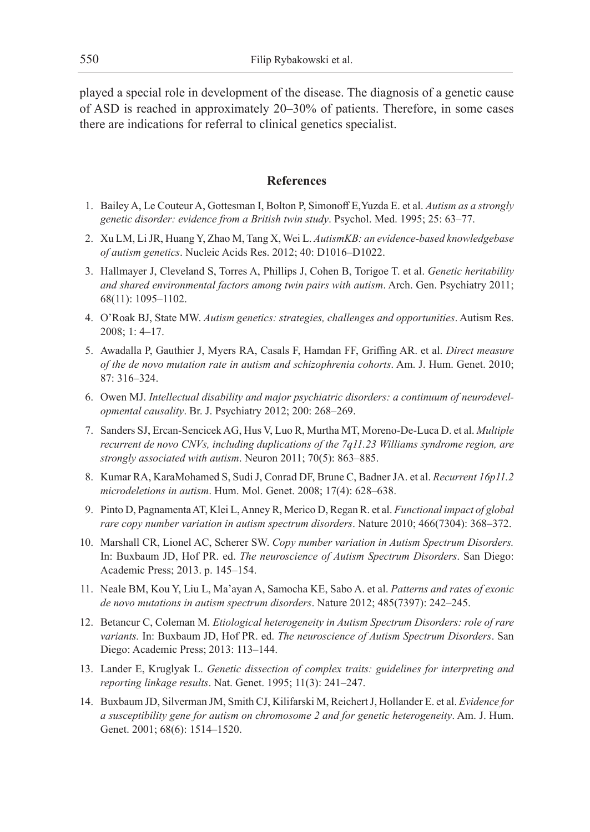played a special role in development of the disease. The diagnosis of a genetic cause of ASD is reached in approximately 20–30% of patients. Therefore, in some cases there are indications for referral to clinical genetics specialist.

# **References**

- 1. Bailey A, Le Couteur A, Gottesman I, Bolton P, Simonoff E,Yuzda E. et al. *Autism as a strongly genetic disorder: evidence from a British twin study*. Psychol. Med. 1995; 25: 63–77.
- 2. Xu LM, Li JR, Huang Y, Zhao M, Tang X, Wei L. *AutismKB: an evidence-based knowledgebase of autism genetics*. Nucleic Acids Res. 2012; 40: D1016–D1022.
- 3. Hallmayer J, Cleveland S, Torres A, Phillips J, Cohen B, Torigoe T. et al. *Genetic heritability and shared environmental factors among twin pairs with autism*. Arch. Gen. Psychiatry 2011; 68(11): 1095–1102.
- 4. O'Roak BJ, State MW. *Autism genetics: strategies, challenges and opportunities*. Autism Res. 2008; 1: 4–17.
- 5. Awadalla P, Gauthier J, Myers RA, Casals F, Hamdan FF, Griffing AR. et al. *Direct measure of the de novo mutation rate in autism and schizophrenia cohorts*. Am. J. Hum. Genet. 2010; 87: 316–324.
- 6. Owen MJ. *Intellectual disability and major psychiatric disorders: a continuum of neurodevelopmental causality*. Br. J. Psychiatry 2012; 200: 268–269.
- 7. Sanders SJ, Ercan-Sencicek AG, Hus V, Luo R, Murtha MT, Moreno-De-Luca D. et al. *Multiple recurrent de novo CNVs, including duplications of the 7q11.23 Williams syndrome region, are strongly associated with autism*. Neuron 2011; 70(5): 863–885.
- 8. Kumar RA, KaraMohamed S, Sudi J, Conrad DF, Brune C, Badner JA. et al. *Recurrent 16p11.2 microdeletions in autism*. Hum. Mol. Genet. 2008; 17(4): 628–638.
- 9. Pinto D, Pagnamenta AT, Klei L, Anney R, Merico D, Regan R. et al. *Functional impact of global rare copy number variation in autism spectrum disorders*. Nature 2010; 466(7304): 368–372.
- 10. Marshall CR, Lionel AC, Scherer SW. *Copy number variation in Autism Spectrum Disorders.*  In: Buxbaum JD, Hof PR. ed. *The neuroscience of Autism Spectrum Disorders*. San Diego: Academic Press; 2013. p. 145–154.
- 11. Neale BM, Kou Y, Liu L, Ma'ayan A, Samocha KE, Sabo A. et al. *Patterns and rates of exonic de novo mutations in autism spectrum disorders*. Nature 2012; 485(7397): 242–245.
- 12. Betancur C, Coleman M. *Etiological heterogeneity in Autism Spectrum Disorders: role of rare variants.* In: Buxbaum JD, Hof PR. ed. *The neuroscience of Autism Spectrum Disorders*. San Diego: Academic Press; 2013: 113–144.
- 13. Lander E, Kruglyak L. *Genetic dissection of complex traits: guidelines for interpreting and reporting linkage results*. Nat. Genet. 1995; 11(3): 241–247.
- 14. Buxbaum JD, Silverman JM, Smith CJ, Kilifarski M, Reichert J, Hollander E. et al. *Evidence for a susceptibility gene for autism on chromosome 2 and for genetic heterogeneity*. Am. J. Hum. Genet. 2001; 68(6): 1514-1520.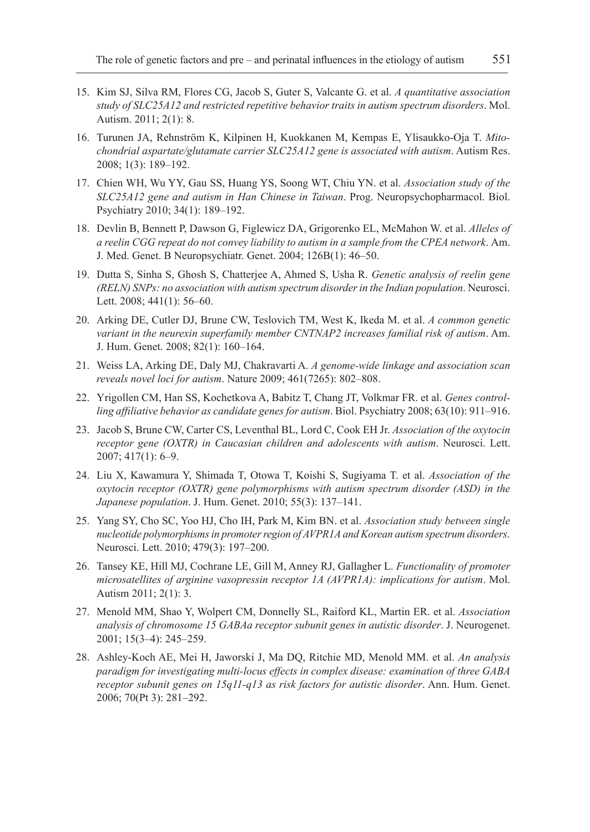- 15. Kim SJ, Silva RM, Flores CG, Jacob S, Guter S, Valcante G. et al. *A quantitative association study of SLC25A12 and restricted repetitive behavior traits in autism spectrum disorders*. Mol. Autism. 2011; 2(1): 8.
- 16. Turunen JA, Rehnström K, Kilpinen H, Kuokkanen M, Kempas E, Ylisaukko-Oja T. *Mitochondrial aspartate/glutamate carrier SLC25A12 gene is associated with autism*. Autism Res. 2008; 1(3): 189–192.
- 17. Chien WH, Wu YY, Gau SS, Huang YS, Soong WT, Chiu YN. et al. *Association study of the SLC25A12 gene and autism in Han Chinese in Taiwan*. Prog. Neuropsychopharmacol. Biol. Psychiatry 2010; 34(1): 189–192.
- 18. Devlin B, Bennett P, Dawson G, Figlewicz DA, Grigorenko EL, McMahon W. et al. *Alleles of a reelin CGG repeat do not convey liability to autism in a sample from the CPEA network*. Am. J. Med. Genet. B Neuropsychiatr. Genet. 2004; 126B(1): 46–50.
- 19. Dutta S, Sinha S, Ghosh S, Chatterjee A, Ahmed S, Usha R. *Genetic analysis of reelin gene (RELN) SNPs: no association with autism spectrum disorder in the Indian population*. Neurosci. Lett. 2008; 441(1): 56–60.
- 20. Arking DE, Cutler DJ, Brune CW, Teslovich TM, West K, Ikeda M. et al. *A common genetic variant in the neurexin superfamily member CNTNAP2 increases familial risk of autism*. Am. J. Hum. Genet. 2008; 82(1): 160–164.
- 21. Weiss LA, Arking DE, Daly MJ, Chakravarti A. *A genome-wide linkage and association scan reveals novel loci for autism*. Nature 2009; 461(7265): 802–808.
- 22. Yrigollen CM, Han SS, Kochetkova A, Babitz T, Chang JT, Volkmar FR. et al. *Genes controlling affiliative behavior as candidate genes for autism*. Biol. Psychiatry 2008; 63(10): 911–916.
- 23. Jacob S, Brune CW, Carter CS, Leventhal BL, Lord C, Cook EH Jr. *Association of the oxytocin receptor gene (OXTR) in Caucasian children and adolescents with autism*. Neurosci. Lett.  $2007; 417(1): 6-9.$
- 24. Liu X, Kawamura Y, Shimada T, Otowa T, Koishi S, Sugiyama T. et al. *Association of the oxytocin receptor (OXTR) gene polymorphisms with autism spectrum disorder (ASD) in the Japanese population*. J. Hum. Genet. 2010; 55(3): 137–141.
- 25. Yang SY, Cho SC, Yoo HJ, Cho IH, Park M, Kim BN. et al. *Association study between single nucleotide polymorphisms in promoter region of AVPR1A and Korean autism spectrum disorders*. Neurosci. Lett. 2010; 479(3): 197–200.
- 26. Tansey KE, Hill MJ, Cochrane LE, Gill M, Anney RJ, Gallagher L. *Functionality of promoter microsatellites of arginine vasopressin receptor 1A (AVPR1A): implications for autism*. Mol. Autism 2011; 2(1): 3.
- 27. Menold MM, Shao Y, Wolpert CM, Donnelly SL, Raiford KL, Martin ER. et al. *Association analysis of chromosome 15 GABAa receptor subunit genes in autistic disorder*. J. Neurogenet. 2001; 15(3–4): 245–259.
- 28. Ashley-Koch AE, Mei H, Jaworski J, Ma DQ, Ritchie MD, Menold MM. et al. *An analysis paradigm for investigating multi-locus effects in complex disease: examination of three GABA receptor subunit genes on 15q11-q13 as risk factors for autistic disorder*. Ann. Hum. Genet. 2006; 70(Pt 3): 281–292.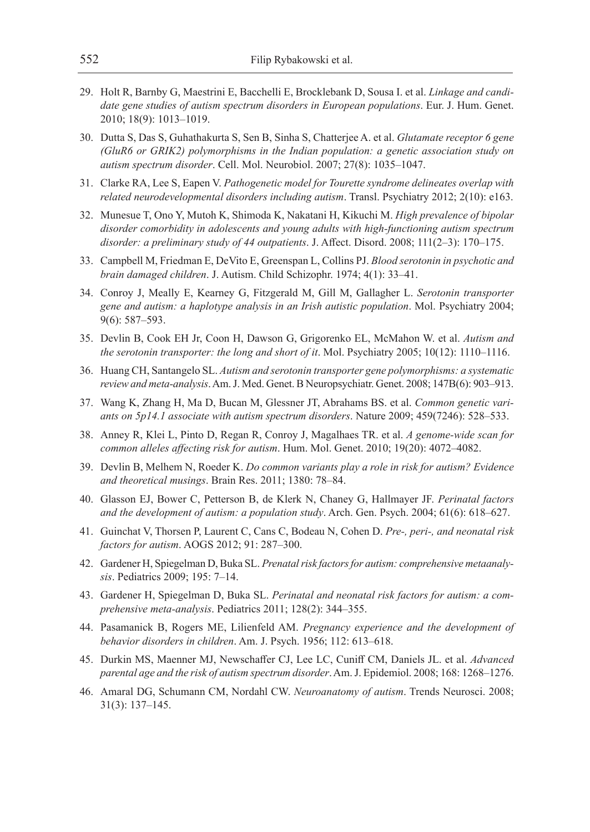- 29. Holt R, Barnby G, Maestrini E, Bacchelli E, Brocklebank D, Sousa I. et al. *Linkage and candidate gene studies of autism spectrum disorders in European populations*. Eur. J. Hum. Genet. 2010; 18(9): 1013–1019.
- 30. Dutta S, Das S, Guhathakurta S, Sen B, Sinha S, Chatterjee A. et al. *Glutamate receptor 6 gene (GluR6 or GRIK2) polymorphisms in the Indian population: a genetic association study on autism spectrum disorder*. Cell. Mol. Neurobiol. 2007; 27(8): 1035–1047.
- 31. Clarke RA, Lee S, Eapen V. *Pathogenetic model for Tourette syndrome delineates overlap with related neurodevelopmental disorders including autism*. Transl. Psychiatry 2012; 2(10): e163.
- 32. Munesue T, Ono Y, Mutoh K, Shimoda K, Nakatani H, Kikuchi M. *High prevalence of bipolar disorder comorbidity in adolescents and young adults with high-functioning autism spectrum disorder: a preliminary study of 44 outpatients*. J. Affect. Disord. 2008; 111(2–3): 170–175.
- 33. Campbell M, Friedman E, DeVito E, Greenspan L, Collins PJ. *Blood serotonin in psychotic and brain damaged children*. J. Autism. Child Schizophr. 1974; 4(1): 33–41.
- 34. Conroy J, Meally E, Kearney G, Fitzgerald M, Gill M, Gallagher L. *Serotonin transporter gene and autism: a haplotype analysis in an Irish autistic population*. Mol. Psychiatry 2004; 9(6): 587–593.
- 35. Devlin B, Cook EH Jr, Coon H, Dawson G, Grigorenko EL, McMahon W. et al. *Autism and the serotonin transporter: the long and short of it*. Mol. Psychiatry 2005; 10(12): 1110–1116.
- 36. Huang CH, Santangelo SL. *Autism and serotonin transporter gene polymorphisms: a systematic review and meta-analysis*. Am. J. Med. Genet. B Neuropsychiatr. Genet. 2008; 147B(6): 903–913.
- 37. Wang K, Zhang H, Ma D, Bucan M, Glessner JT, Abrahams BS. et al. *Common genetic variants on 5p14.1 associate with autism spectrum disorders*. Nature 2009; 459(7246): 528–533.
- 38. Anney R, Klei L, Pinto D, Regan R, Conroy J, Magalhaes TR. et al. *A genome-wide scan for common alleles affecting risk for autism*. Hum. Mol. Genet. 2010; 19(20): 4072–4082.
- 39. Devlin B, Melhem N, Roeder K. *Do common variants play a role in risk for autism? Evidence and theoretical musings*. Brain Res. 2011; 1380: 78–84.
- 40. Glasson EJ, Bower C, Petterson B, de Klerk N, Chaney G, Hallmayer JF. *Perinatal factors and the development of autism: a population study*. Arch. Gen. Psych. 2004; 61(6): 618–627.
- 41. Guinchat V, Thorsen P, Laurent C, Cans C, Bodeau N, Cohen D. *Pre-, peri-, and neonatal risk factors for autism*. AOGS 2012; 91: 287–300.
- 42. Gardener H, Spiegelman D, Buka SL. *Prenatal risk factors for autism: comprehensive metaanalysis*. Pediatrics 2009; 195: 7–14.
- 43. Gardener H, Spiegelman D, Buka SL. *Perinatal and neonatal risk factors for autism: a comprehensive meta-analysis*. Pediatrics 2011; 128(2): 344–355.
- 44. Pasamanick B, Rogers ME, Lilienfeld AM. *Pregnancy experience and the development of behavior disorders in children*. Am. J. Psych. 1956; 112: 613–618.
- 45. Durkin MS, Maenner MJ, Newschaffer CJ, Lee LC, Cuniff CM, Daniels JL. et al. *Advanced parental age and the risk of autism spectrum disorder*. Am. J. Epidemiol. 2008; 168: 1268–1276.
- 46. Amaral DG, Schumann CM, Nordahl CW. *Neuroanatomy of autism*. Trends Neurosci. 2008; 31(3): 137–145.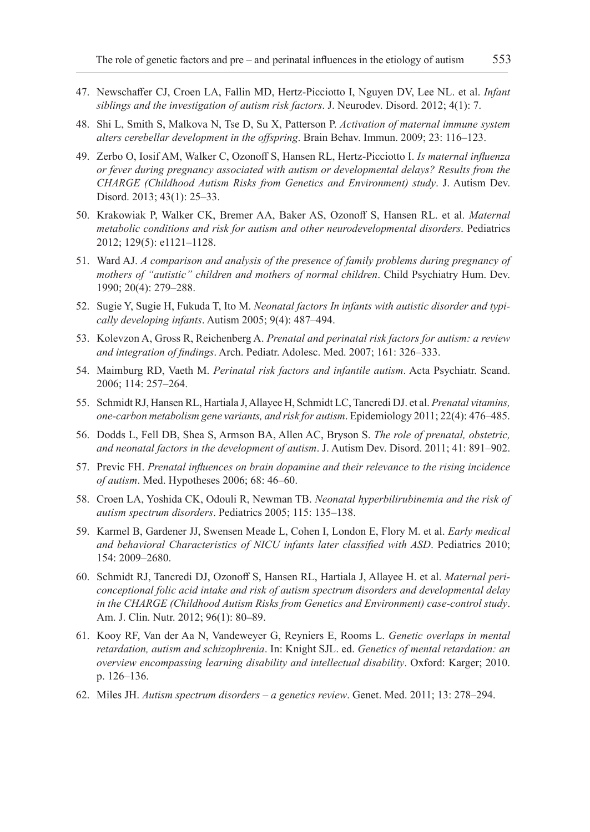- 47. Newschaffer CJ, Croen LA, Fallin MD, Hertz-Picciotto I, Nguyen DV, Lee NL. et al. *Infant siblings and the investigation of autism risk factors*. J. Neurodev. Disord. 2012; 4(1): 7.
- 48. Shi L, Smith S, Malkova N, Tse D, Su X, Patterson P. *Activation of maternal immune system alters cerebellar development in the offspring*. Brain Behav. Immun. 2009; 23: 116–123.
- 49. Zerbo O, Iosif AM, Walker C, Ozonoff S, Hansen RL, Hertz-Picciotto I. *Is maternal influenza or fever during pregnancy associated with autism or developmental delays? Results from the CHARGE (Childhood Autism Risks from Genetics and Environment) study*. J. Autism Dev. Disord. 2013; 43(1): 25–33.
- 50. Krakowiak P, Walker CK, Bremer AA, Baker AS, Ozonoff S, Hansen RL. et al. *Maternal metabolic conditions and risk for autism and other neurodevelopmental disorders*. Pediatrics 2012; 129(5): e1121–1128.
- 51. Ward AJ. *A comparison and analysis of the presence of family problems during pregnancy of mothers of "autistic" children and mothers of normal children*. Child Psychiatry Hum. Dev. 1990; 20(4): 279–288.
- 52. Sugie Y, Sugie H, Fukuda T, Ito M. *Neonatal factors In infants with autistic disorder and typically developing infants*. Autism 2005; 9(4): 487–494.
- 53. Kolevzon A, Gross R, Reichenberg A. *Prenatal and perinatal risk factors for autism: a review and integration of findings*. Arch. Pediatr. Adolesc. Med. 2007; 161: 326–333.
- 54. Maimburg RD, Vaeth M. *Perinatal risk factors and infantile autism*. Acta Psychiatr. Scand. 2006; 114: 257–264.
- 55. Schmidt RJ, Hansen RL, Hartiala J, Allayee H, Schmidt LC, Tancredi DJ. et al. *Prenatal vitamins, one-carbon metabolism gene variants, and risk for autism*. Epidemiology 2011; 22(4): 476–485.
- 56. Dodds L, Fell DB, Shea S, Armson BA, Allen AC, Bryson S. *The role of prenatal, obstetric, and neonatal factors in the development of autism*. J. Autism Dev. Disord. 2011; 41: 891–902.
- 57. Previc FH. *Prenatal influences on brain dopamine and their relevance to the rising incidence of autism*. Med. Hypotheses 2006; 68: 46–60.
- 58. Croen LA, Yoshida CK, Odouli R, Newman TB. *Neonatal hyperbilirubinemia and the risk of autism spectrum disorders*. Pediatrics 2005; 115: 135–138.
- 59. Karmel B, Gardener JJ, Swensen Meade L, Cohen I, London E, Flory M. et al. *Early medical and behavioral Characteristics of NICU infants later classified with ASD*. Pediatrics 2010; 154: 2009–2680.
- 60. Schmidt RJ, Tancredi DJ, Ozonoff S, Hansen RL, Hartiala J, Allayee H. et al. *Maternal periconceptional folic acid intake and risk of autism spectrum disorders and developmental delay in the CHARGE (Childhood Autism Risks from Genetics and Environment) case-control study*. Am. J. Clin. Nutr. 2012; 96(1): 80**–**89.
- 61. Kooy RF, Van der Aa N, Vandeweyer G, Reyniers E, Rooms L. *Genetic overlaps in mental retardation, autism and schizophrenia*. In: Knight SJL. ed. *Genetics of mental retardation: an overview encompassing learning disability and intellectual disability*. Oxford: Karger; 2010. p. 126–136.
- 62. Miles JH. *Autism spectrum disorders a genetics review*. Genet. Med. 2011; 13: 278–294.